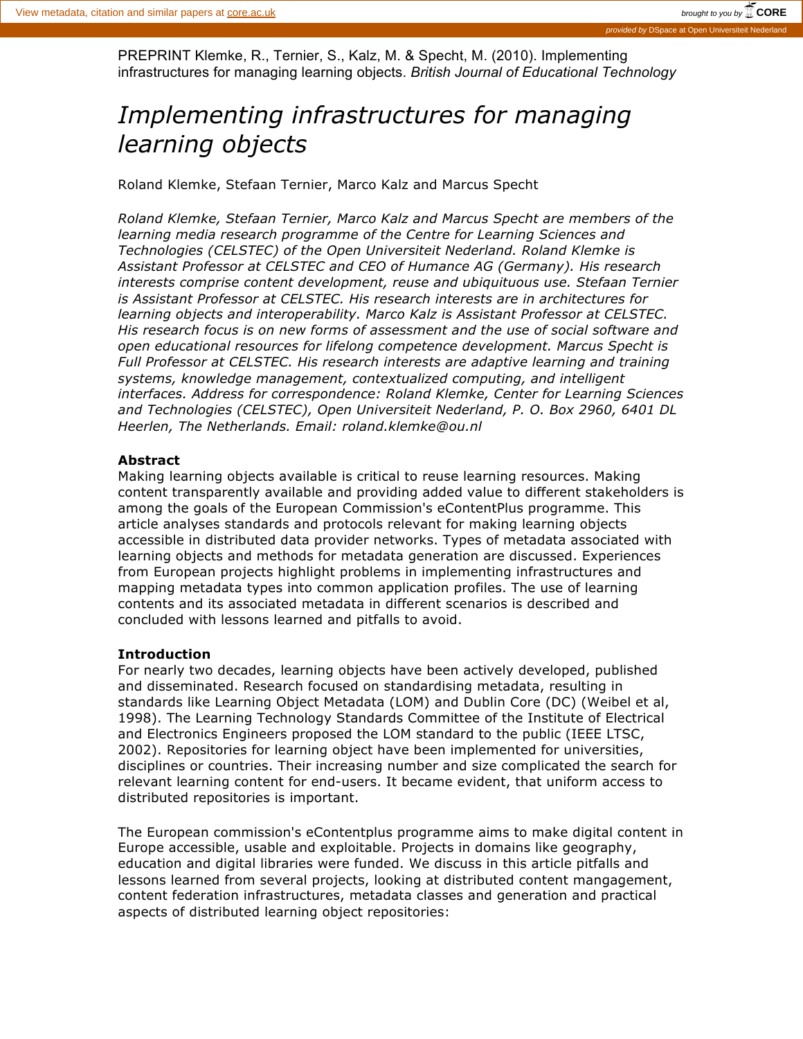# *Implementing infrastructures for managing learning objects*

Roland Klemke, Stefaan Ternier, Marco Kalz and Marcus Specht

*Roland Klemke, Stefaan Ternier, Marco Kalz and Marcus Specht are members of the learning media research programme of the Centre for Learning Sciences and Technologies (CELSTEC) of the Open Universiteit Nederland. Roland Klemke is Assistant Professor at CELSTEC and CEO of Humance AG (Germany). His research interests comprise content development, reuse and ubiquituous use. Stefaan Ternier is Assistant Professor at CELSTEC. His research interests are in architectures for learning objects and interoperability. Marco Kalz is Assistant Professor at CELSTEC. His research focus is on new forms of assessment and the use of social software and open educational resources for lifelong competence development. Marcus Specht is Full Professor at CELSTEC. His research interests are adaptive learning and training systems, knowledge management, contextualized computing, and intelligent interfaces. Address for correspondence: Roland Klemke, Center for Learning Sciences and Technologies (CELSTEC), Open Universiteit Nederland, P. O. Box 2960, 6401 DL Heerlen, The Netherlands. Email: roland.klemke@ou.nl* 

## **Abstract**

Making learning objects available is critical to reuse learning resources. Making content transparently available and providing added value to different stakeholders is among the goals of the European Commission's eContentPlus programme. This article analyses standards and protocols relevant for making learning objects accessible in distributed data provider networks. Types of metadata associated with learning objects and methods for metadata generation are discussed. Experiences from European projects highlight problems in implementing infrastructures and mapping metadata types into common application profiles. The use of learning contents and its associated metadata in different scenarios is described and concluded with lessons learned and pitfalls to avoid.

## **Introduction**

For nearly two decades, learning objects have been actively developed, published and disseminated. Research focused on standardising metadata, resulting in standards like Learning Object Metadata (LOM) and Dublin Core (DC) (Weibel et al, 1998). The Learning Technology Standards Committee of the Institute of Electrical and Electronics Engineers proposed the LOM standard to the public (IEEE LTSC, 2002). Repositories for learning object have been implemented for universities, disciplines or countries. Their increasing number and size complicated the search for relevant learning content for end-users. It became evident, that uniform access to distributed repositories is important.

The European commission's eContentplus programme aims to make digital content in Europe accessible, usable and exploitable. Projects in domains like geography, education and digital libraries were funded. We discuss in this article pitfalls and lessons learned from several projects, looking at distributed content mangagement, content federation infrastructures, metadata classes and generation and practical aspects of distributed learning object repositories: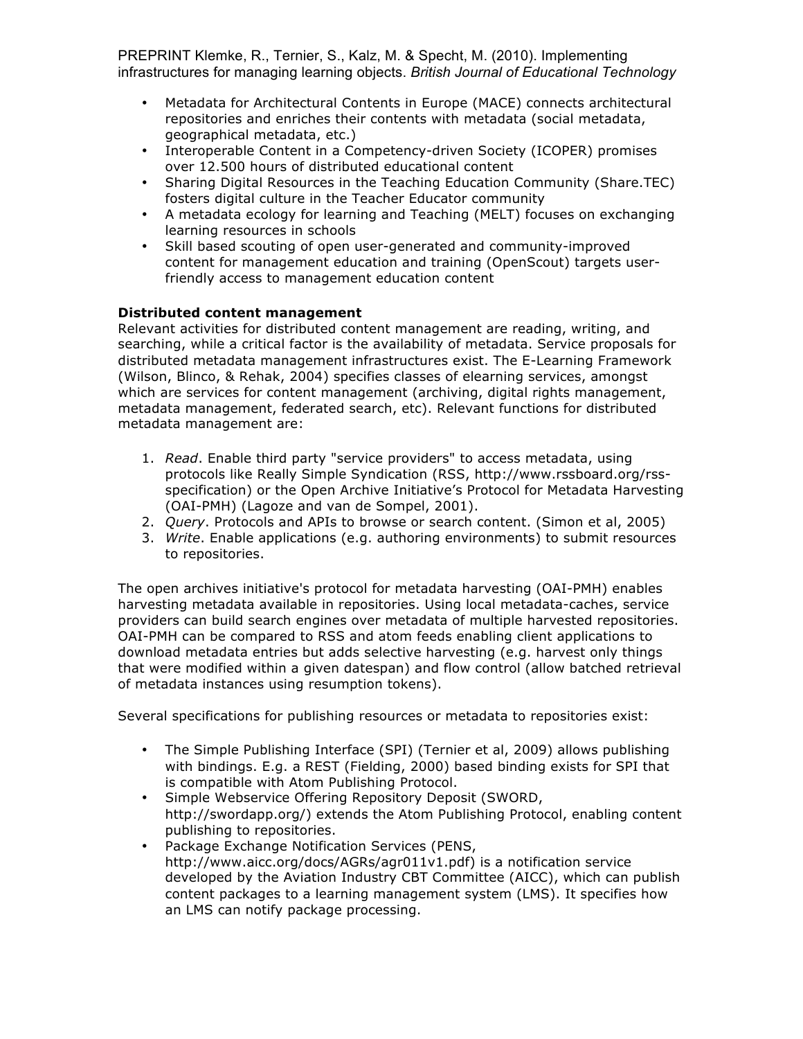- Metadata for Architectural Contents in Europe (MACE) connects architectural repositories and enriches their contents with metadata (social metadata, geographical metadata, etc.)
- Interoperable Content in a Competency-driven Society (ICOPER) promises over 12.500 hours of distributed educational content
- Sharing Digital Resources in the Teaching Education Community (Share.TEC) fosters digital culture in the Teacher Educator community
- A metadata ecology for learning and Teaching (MELT) focuses on exchanging learning resources in schools
- Skill based scouting of open user-generated and community-improved content for management education and training (OpenScout) targets userfriendly access to management education content

## **Distributed content management**

Relevant activities for distributed content management are reading, writing, and searching, while a critical factor is the availability of metadata. Service proposals for distributed metadata management infrastructures exist. The E-Learning Framework (Wilson, Blinco, & Rehak, 2004) specifies classes of elearning services, amongst which are services for content management (archiving, digital rights management, metadata management, federated search, etc). Relevant functions for distributed metadata management are:

- 1. *Read*. Enable third party "service providers" to access metadata, using protocols like Really Simple Syndication (RSS, http://www.rssboard.org/rssspecification) or the Open Archive Initiative's Protocol for Metadata Harvesting (OAI-PMH) (Lagoze and van de Sompel, 2001).
- 2. *Query*. Protocols and APIs to browse or search content. (Simon et al, 2005)
- 3. *Write*. Enable applications (e.g. authoring environments) to submit resources to repositories.

The open archives initiative's protocol for metadata harvesting (OAI-PMH) enables harvesting metadata available in repositories. Using local metadata-caches, service providers can build search engines over metadata of multiple harvested repositories. OAI-PMH can be compared to RSS and atom feeds enabling client applications to download metadata entries but adds selective harvesting (e.g. harvest only things that were modified within a given datespan) and flow control (allow batched retrieval of metadata instances using resumption tokens).

Several specifications for publishing resources or metadata to repositories exist:

- The Simple Publishing Interface (SPI) (Ternier et al, 2009) allows publishing with bindings. E.g. a REST (Fielding, 2000) based binding exists for SPI that is compatible with Atom Publishing Protocol.
- Simple Webservice Offering Repository Deposit (SWORD, http://swordapp.org/) extends the Atom Publishing Protocol, enabling content publishing to repositories.
- Package Exchange Notification Services (PENS, http://www.aicc.org/docs/AGRs/agr011v1.pdf) is a notification service developed by the Aviation Industry CBT Committee (AICC), which can publish content packages to a learning management system (LMS). It specifies how an LMS can notify package processing.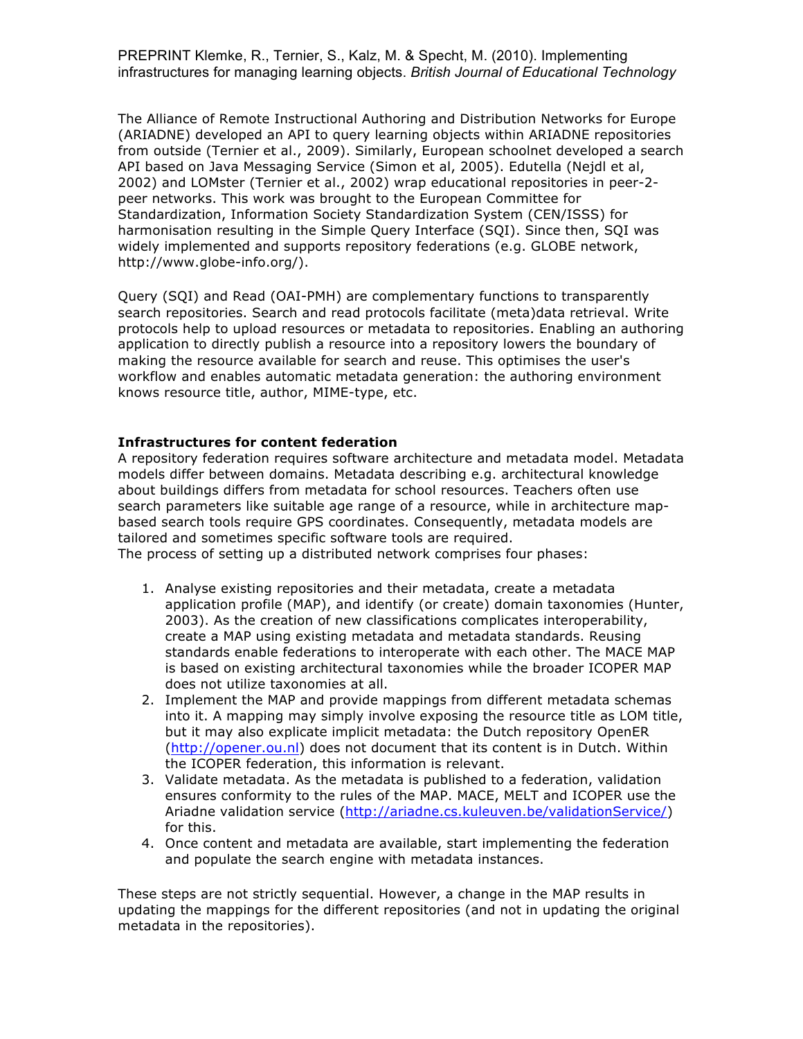The Alliance of Remote Instructional Authoring and Distribution Networks for Europe (ARIADNE) developed an API to query learning objects within ARIADNE repositories from outside (Ternier et al., 2009). Similarly, European schoolnet developed a search API based on Java Messaging Service (Simon et al, 2005). Edutella (Nejdl et al, 2002) and LOMster (Ternier et al., 2002) wrap educational repositories in peer-2 peer networks. This work was brought to the European Committee for Standardization, Information Society Standardization System (CEN/ISSS) for harmonisation resulting in the Simple Query Interface (SQI). Since then, SQI was widely implemented and supports repository federations (e.g. GLOBE network, http://www.globe-info.org/).

Query (SQI) and Read (OAI-PMH) are complementary functions to transparently search repositories. Search and read protocols facilitate (meta)data retrieval. Write protocols help to upload resources or metadata to repositories. Enabling an authoring application to directly publish a resource into a repository lowers the boundary of making the resource available for search and reuse. This optimises the user's workflow and enables automatic metadata generation: the authoring environment knows resource title, author, MIME-type, etc.

## **Infrastructures for content federation**

A repository federation requires software architecture and metadata model. Metadata models differ between domains. Metadata describing e.g. architectural knowledge about buildings differs from metadata for school resources. Teachers often use search parameters like suitable age range of a resource, while in architecture mapbased search tools require GPS coordinates. Consequently, metadata models are tailored and sometimes specific software tools are required.

The process of setting up a distributed network comprises four phases:

- 1. Analyse existing repositories and their metadata, create a metadata application profile (MAP), and identify (or create) domain taxonomies (Hunter, 2003). As the creation of new classifications complicates interoperability, create a MAP using existing metadata and metadata standards. Reusing standards enable federations to interoperate with each other. The MACE MAP is based on existing architectural taxonomies while the broader ICOPER MAP does not utilize taxonomies at all.
- 2. Implement the MAP and provide mappings from different metadata schemas into it. A mapping may simply involve exposing the resource title as LOM title, but it may also explicate implicit metadata: the Dutch repository OpenER (http://opener.ou.nl) does not document that its content is in Dutch. Within the ICOPER federation, this information is relevant.
- 3. Validate metadata. As the metadata is published to a federation, validation ensures conformity to the rules of the MAP. MACE, MELT and ICOPER use the Ariadne validation service (http://ariadne.cs.kuleuven.be/validationService/) for this.
- 4. Once content and metadata are available, start implementing the federation and populate the search engine with metadata instances.

These steps are not strictly sequential. However, a change in the MAP results in updating the mappings for the different repositories (and not in updating the original metadata in the repositories).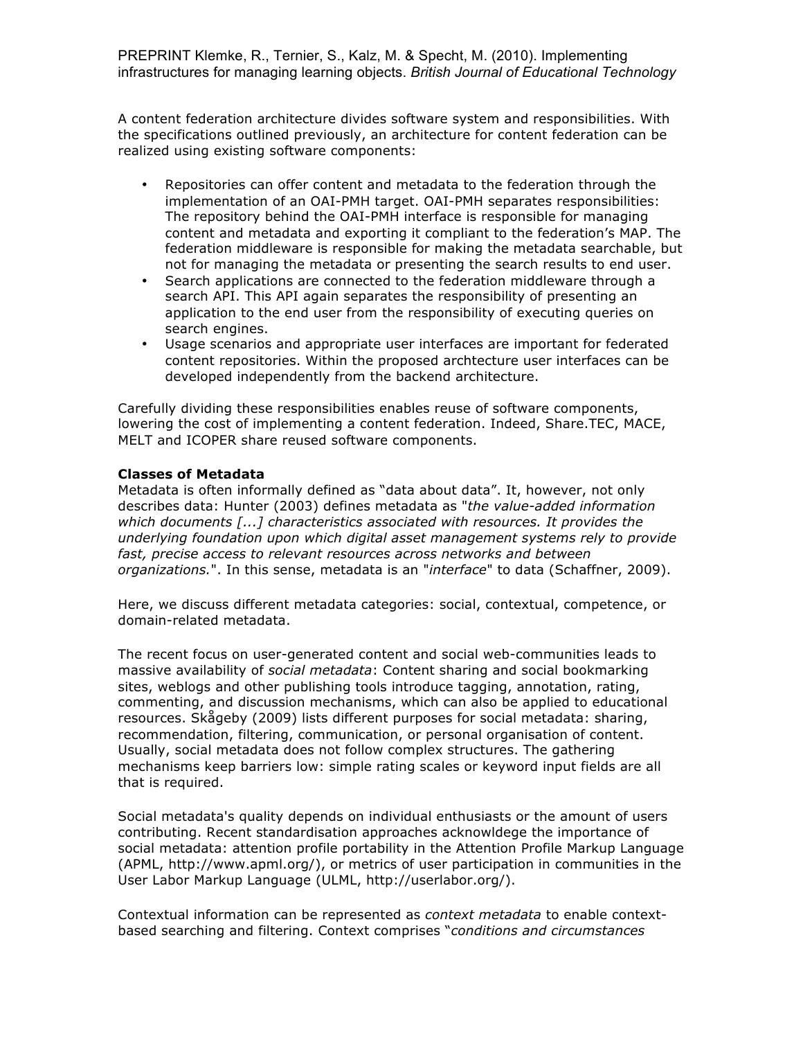A content federation architecture divides software system and responsibilities. With the specifications outlined previously, an architecture for content federation can be realized using existing software components:

- Repositories can offer content and metadata to the federation through the implementation of an OAI-PMH target. OAI-PMH separates responsibilities: The repository behind the OAI-PMH interface is responsible for managing content and metadata and exporting it compliant to the federation's MAP. The federation middleware is responsible for making the metadata searchable, but not for managing the metadata or presenting the search results to end user.
- Search applications are connected to the federation middleware through a search API. This API again separates the responsibility of presenting an application to the end user from the responsibility of executing queries on search engines.
- Usage scenarios and appropriate user interfaces are important for federated content repositories. Within the proposed archtecture user interfaces can be developed independently from the backend architecture.

Carefully dividing these responsibilities enables reuse of software components, lowering the cost of implementing a content federation. Indeed, Share.TEC, MACE, MELT and ICOPER share reused software components.

## **Classes of Metadata**

Metadata is often informally defined as "data about data". It, however, not only describes data: Hunter (2003) defines metadata as "*the value-added information which documents [...] characteristics associated with resources. It provides the underlying foundation upon which digital asset management systems rely to provide*  fast, precise access to relevant resources across networks and between *organizations.*". In this sense, metadata is an "*interface*" to data (Schaffner, 2009).

Here, we discuss different metadata categories: social, contextual, competence, or domain-related metadata.

The recent focus on user-generated content and social web-communities leads to massive availability of *social metadata*: Content sharing and social bookmarking sites, weblogs and other publishing tools introduce tagging, annotation, rating, commenting, and discussion mechanisms, which can also be applied to educational resources. Skågeby (2009) lists different purposes for social metadata: sharing, recommendation, filtering, communication, or personal organisation of content. Usually, social metadata does not follow complex structures. The gathering mechanisms keep barriers low: simple rating scales or keyword input fields are all that is required.

Social metadata's quality depends on individual enthusiasts or the amount of users contributing. Recent standardisation approaches acknowldege the importance of social metadata: attention profile portability in the Attention Profile Markup Language (APML, http://www.apml.org/), or metrics of user participation in communities in the User Labor Markup Language (ULML, http://userlabor.org/).

Contextual information can be represented as *context metadata* to enable contextbased searching and filtering. Context comprises "*conditions and circumstances*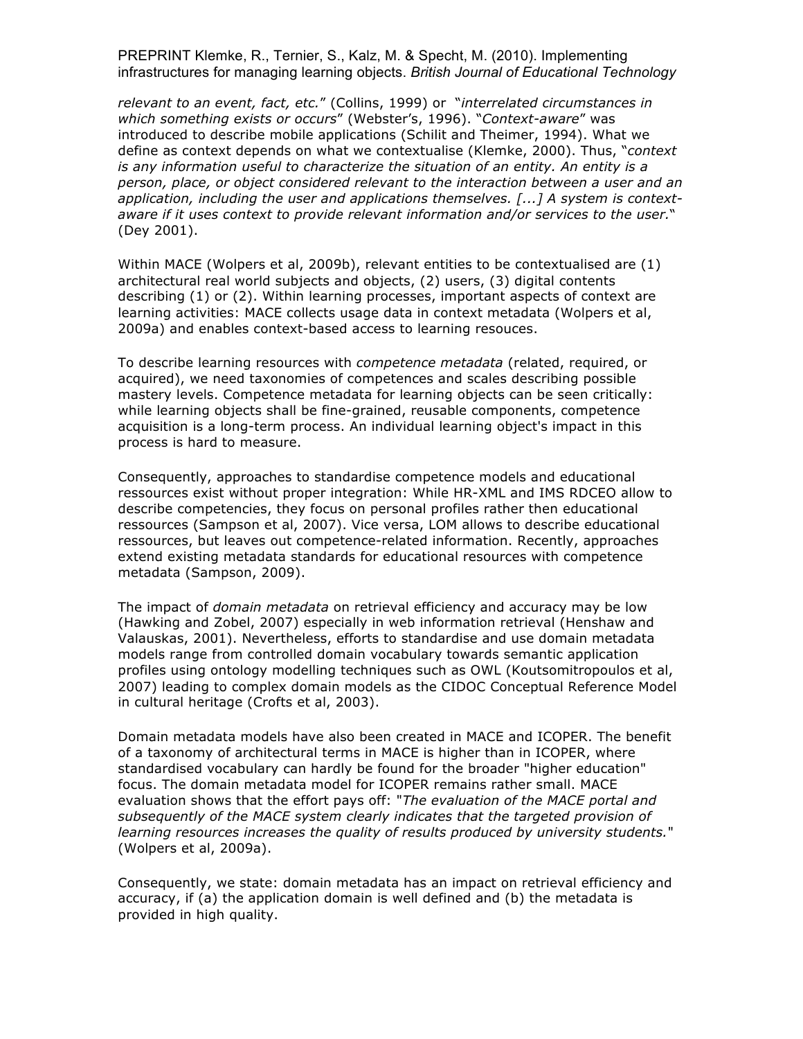*relevant to an event, fact, etc.*" (Collins, 1999) or "*interrelated circumstances in which something exists or occurs*" (Webster's, 1996). "*Context-aware*" was introduced to describe mobile applications (Schilit and Theimer, 1994). What we define as context depends on what we contextualise (Klemke, 2000). Thus, "*context is any information useful to characterize the situation of an entity. An entity is a person, place, or object considered relevant to the interaction between a user and an application, including the user and applications themselves. [...] A system is contextaware if it uses context to provide relevant information and/or services to the user.*" (Dey 2001).

Within MACE (Wolpers et al, 2009b), relevant entities to be contextualised are (1) architectural real world subjects and objects, (2) users, (3) digital contents describing (1) or (2). Within learning processes, important aspects of context are learning activities: MACE collects usage data in context metadata (Wolpers et al, 2009a) and enables context-based access to learning resouces.

To describe learning resources with *competence metadata* (related, required, or acquired), we need taxonomies of competences and scales describing possible mastery levels. Competence metadata for learning objects can be seen critically: while learning objects shall be fine-grained, reusable components, competence acquisition is a long-term process. An individual learning object's impact in this process is hard to measure.

Consequently, approaches to standardise competence models and educational ressources exist without proper integration: While HR-XML and IMS RDCEO allow to describe competencies, they focus on personal profiles rather then educational ressources (Sampson et al, 2007). Vice versa, LOM allows to describe educational ressources, but leaves out competence-related information. Recently, approaches extend existing metadata standards for educational resources with competence metadata (Sampson, 2009).

The impact of *domain metadata* on retrieval efficiency and accuracy may be low (Hawking and Zobel, 2007) especially in web information retrieval (Henshaw and Valauskas, 2001). Nevertheless, efforts to standardise and use domain metadata models range from controlled domain vocabulary towards semantic application profiles using ontology modelling techniques such as OWL (Koutsomitropoulos et al, 2007) leading to complex domain models as the CIDOC Conceptual Reference Model in cultural heritage (Crofts et al, 2003).

Domain metadata models have also been created in MACE and ICOPER. The benefit of a taxonomy of architectural terms in MACE is higher than in ICOPER, where standardised vocabulary can hardly be found for the broader "higher education" focus. The domain metadata model for ICOPER remains rather small. MACE evaluation shows that the effort pays off: "*The evaluation of the MACE portal and*  subsequently of the MACE system clearly indicates that the targeted provision of *learning resources increases the quality of results produced by university students.*" (Wolpers et al, 2009a).

Consequently, we state: domain metadata has an impact on retrieval efficiency and accuracy, if (a) the application domain is well defined and (b) the metadata is provided in high quality.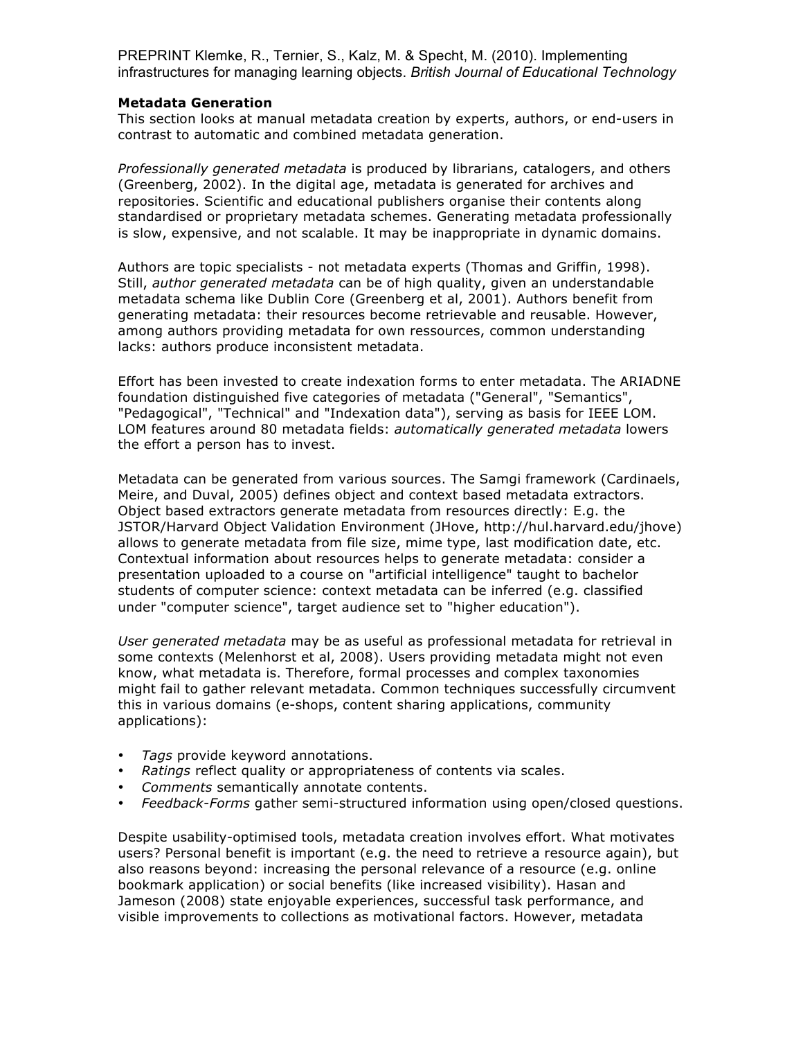#### **Metadata Generation**

This section looks at manual metadata creation by experts, authors, or end-users in contrast to automatic and combined metadata generation.

*Professionally generated metadata* is produced by librarians, catalogers, and others (Greenberg, 2002). In the digital age, metadata is generated for archives and repositories. Scientific and educational publishers organise their contents along standardised or proprietary metadata schemes. Generating metadata professionally is slow, expensive, and not scalable. It may be inappropriate in dynamic domains.

Authors are topic specialists - not metadata experts (Thomas and Griffin, 1998). Still, *author generated metadata* can be of high quality, given an understandable metadata schema like Dublin Core (Greenberg et al, 2001). Authors benefit from generating metadata: their resources become retrievable and reusable. However, among authors providing metadata for own ressources, common understanding lacks: authors produce inconsistent metadata.

Effort has been invested to create indexation forms to enter metadata. The ARIADNE foundation distinguished five categories of metadata ("General", "Semantics", "Pedagogical", "Technical" and "Indexation data"), serving as basis for IEEE LOM. LOM features around 80 metadata fields: *automatically generated metadata* lowers the effort a person has to invest.

Metadata can be generated from various sources. The Samgi framework (Cardinaels, Meire, and Duval, 2005) defines object and context based metadata extractors. Object based extractors generate metadata from resources directly: E.g. the JSTOR/Harvard Object Validation Environment (JHove, http://hul.harvard.edu/jhove) allows to generate metadata from file size, mime type, last modification date, etc. Contextual information about resources helps to generate metadata: consider a presentation uploaded to a course on "artificial intelligence" taught to bachelor students of computer science: context metadata can be inferred (e.g. classified under "computer science", target audience set to "higher education").

*User generated metadata* may be as useful as professional metadata for retrieval in some contexts (Melenhorst et al, 2008). Users providing metadata might not even know, what metadata is. Therefore, formal processes and complex taxonomies might fail to gather relevant metadata. Common techniques successfully circumvent this in various domains (e-shops, content sharing applications, community applications):

- *Tags* provide keyword annotations.
- *Ratings* reflect quality or appropriateness of contents via scales.
- *Comments* semantically annotate contents.
- *Feedback-Forms* gather semi-structured information using open/closed questions.

Despite usability-optimised tools, metadata creation involves effort. What motivates users? Personal benefit is important (e.g. the need to retrieve a resource again), but also reasons beyond: increasing the personal relevance of a resource (e.g. online bookmark application) or social benefits (like increased visibility). Hasan and Jameson (2008) state enjoyable experiences, successful task performance, and visible improvements to collections as motivational factors. However, metadata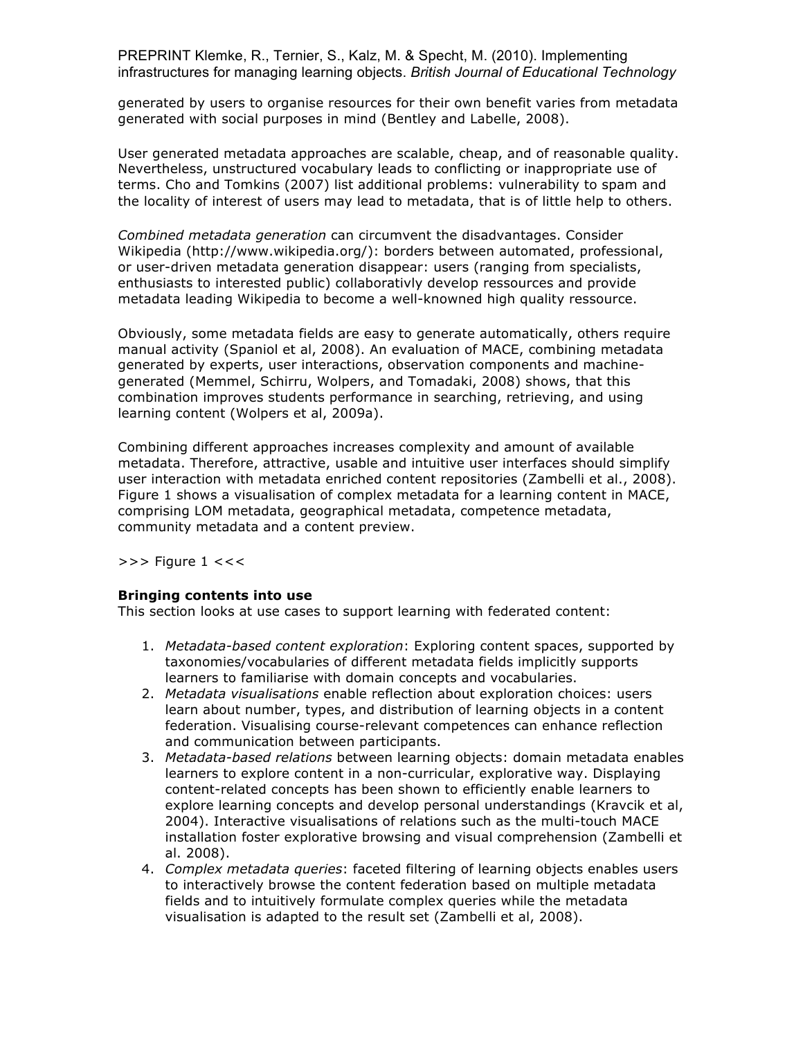generated by users to organise resources for their own benefit varies from metadata generated with social purposes in mind (Bentley and Labelle, 2008).

User generated metadata approaches are scalable, cheap, and of reasonable quality. Nevertheless, unstructured vocabulary leads to conflicting or inappropriate use of terms. Cho and Tomkins (2007) list additional problems: vulnerability to spam and the locality of interest of users may lead to metadata, that is of little help to others.

*Combined metadata generation* can circumvent the disadvantages. Consider Wikipedia (http://www.wikipedia.org/): borders between automated, professional, or user-driven metadata generation disappear: users (ranging from specialists, enthusiasts to interested public) collaborativly develop ressources and provide metadata leading Wikipedia to become a well-knowned high quality ressource.

Obviously, some metadata fields are easy to generate automatically, others require manual activity (Spaniol et al, 2008). An evaluation of MACE, combining metadata generated by experts, user interactions, observation components and machinegenerated (Memmel, Schirru, Wolpers, and Tomadaki, 2008) shows, that this combination improves students performance in searching, retrieving, and using learning content (Wolpers et al, 2009a).

Combining different approaches increases complexity and amount of available metadata. Therefore, attractive, usable and intuitive user interfaces should simplify user interaction with metadata enriched content repositories (Zambelli et al., 2008). Figure 1 shows a visualisation of complex metadata for a learning content in MACE, comprising LOM metadata, geographical metadata, competence metadata, community metadata and a content preview.

 $>>$  Figure  $1 <<$ 

#### **Bringing contents into use**

This section looks at use cases to support learning with federated content:

- 1. *Metadata-based content exploration*: Exploring content spaces, supported by taxonomies/vocabularies of different metadata fields implicitly supports learners to familiarise with domain concepts and vocabularies.
- 2. *Metadata visualisations* enable reflection about exploration choices: users learn about number, types, and distribution of learning objects in a content federation. Visualising course-relevant competences can enhance reflection and communication between participants.
- 3. *Metadata-based relations* between learning objects: domain metadata enables learners to explore content in a non-curricular, explorative way. Displaying content-related concepts has been shown to efficiently enable learners to explore learning concepts and develop personal understandings (Kravcik et al, 2004). Interactive visualisations of relations such as the multi-touch MACE installation foster explorative browsing and visual comprehension (Zambelli et al. 2008).
- 4. *Complex metadata queries*: faceted filtering of learning objects enables users to interactively browse the content federation based on multiple metadata fields and to intuitively formulate complex queries while the metadata visualisation is adapted to the result set (Zambelli et al, 2008).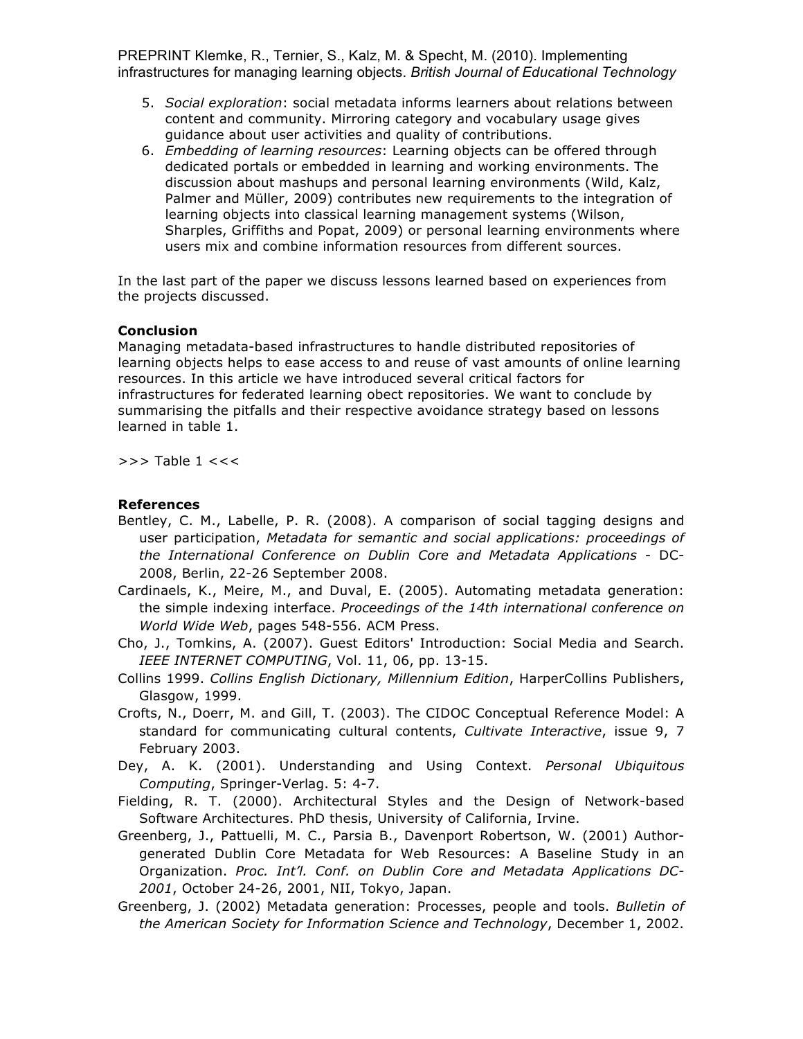- 5. *Social exploration*: social metadata informs learners about relations between content and community. Mirroring category and vocabulary usage gives guidance about user activities and quality of contributions.
- 6. *Embedding of learning resources*: Learning objects can be offered through dedicated portals or embedded in learning and working environments. The discussion about mashups and personal learning environments (Wild, Kalz, Palmer and Müller, 2009) contributes new requirements to the integration of learning objects into classical learning management systems (Wilson, Sharples, Griffiths and Popat, 2009) or personal learning environments where users mix and combine information resources from different sources.

In the last part of the paper we discuss lessons learned based on experiences from the projects discussed.

#### **Conclusion**

Managing metadata-based infrastructures to handle distributed repositories of learning objects helps to ease access to and reuse of vast amounts of online learning resources. In this article we have introduced several critical factors for infrastructures for federated learning obect repositories. We want to conclude by summarising the pitfalls and their respective avoidance strategy based on lessons learned in table 1.

 $>>$  Table 1  $<<$ 

#### **References**

- Bentley, C. M., Labelle, P. R. (2008). A comparison of social tagging designs and user participation, *Metadata for semantic and social applications: proceedings of the International Conference on Dublin Core and Metadata Applications* - DC-2008, Berlin, 22-26 September 2008.
- Cardinaels, K., Meire, M., and Duval, E. (2005). Automating metadata generation: the simple indexing interface. *Proceedings of the 14th international conference on World Wide Web*, pages 548-556. ACM Press.
- Cho, J., Tomkins, A. (2007). Guest Editors' Introduction: Social Media and Search. *IEEE INTERNET COMPUTING*, Vol. 11, 06, pp. 13-15.
- Collins 1999. *Collins English Dictionary, Millennium Edition*, HarperCollins Publishers, Glasgow, 1999.
- Crofts, N., Doerr, M. and Gill, T. (2003). The CIDOC Conceptual Reference Model: A standard for communicating cultural contents, *Cultivate Interactive*, issue 9, 7 February 2003.
- Dey, A. K. (2001). Understanding and Using Context. *Personal Ubiquitous Computing*, Springer-Verlag. 5: 4-7.
- Fielding, R. T. (2000). Architectural Styles and the Design of Network-based Software Architectures. PhD thesis, University of California, Irvine.
- Greenberg, J., Pattuelli, M. C., Parsia B., Davenport Robertson, W. (2001) Authorgenerated Dublin Core Metadata for Web Resources: A Baseline Study in an Organization. *Proc. Int'l. Conf. on Dublin Core and Metadata Applications DC-2001*, October 24-26, 2001, NII, Tokyo, Japan.
- Greenberg, J. (2002) Metadata generation: Processes, people and tools. *Bulletin of the American Society for Information Science and Technology*, December 1, 2002.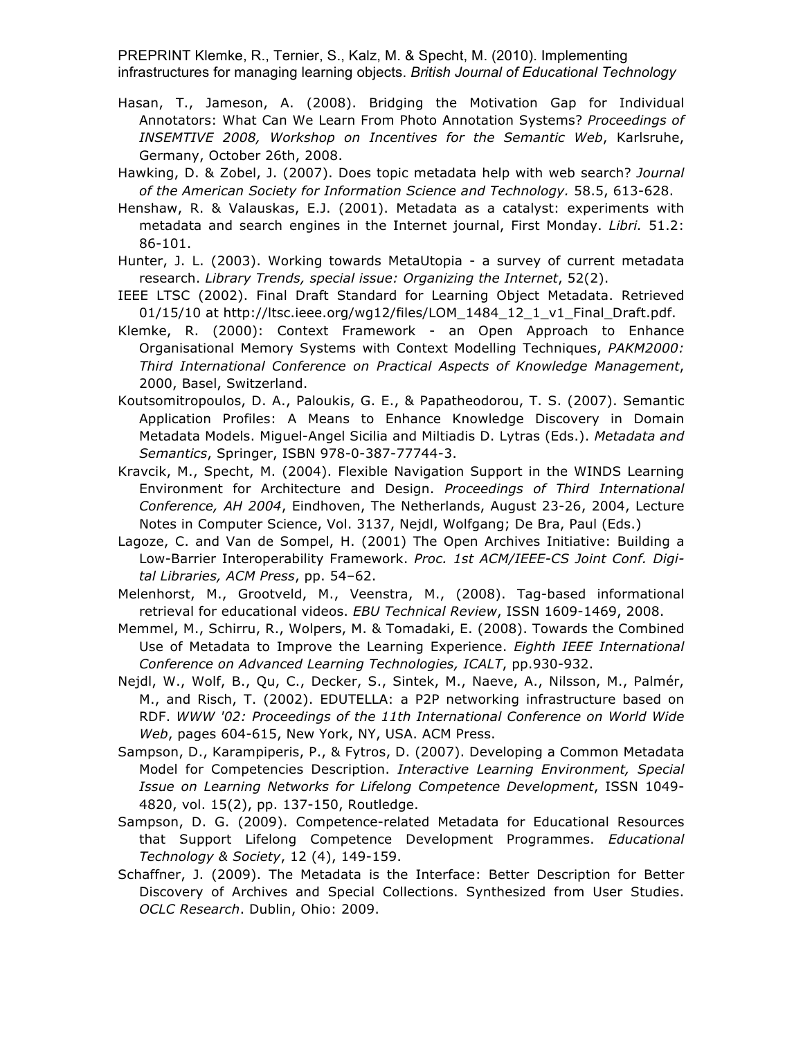- Hasan, T., Jameson, A. (2008). Bridging the Motivation Gap for Individual Annotators: What Can We Learn From Photo Annotation Systems? *Proceedings of INSEMTIVE 2008, Workshop on Incentives for the Semantic Web*, Karlsruhe, Germany, October 26th, 2008.
- Hawking, D. & Zobel, J. (2007). Does topic metadata help with web search? *Journal of the American Society for Information Science and Technology.* 58.5, 613-628.
- Henshaw, R. & Valauskas, E.J. (2001). Metadata as a catalyst: experiments with metadata and search engines in the Internet journal, First Monday. *Libri.* 51.2: 86-101.
- Hunter, J. L. (2003). Working towards MetaUtopia a survey of current metadata research. *Library Trends, special issue: Organizing the Internet*, 52(2).
- IEEE LTSC (2002). Final Draft Standard for Learning Object Metadata. Retrieved 01/15/10 at http://ltsc.ieee.org/wg12/files/LOM\_1484\_12\_1\_v1\_Final\_Draft.pdf.
- Klemke, R. (2000): Context Framework an Open Approach to Enhance Organisational Memory Systems with Context Modelling Techniques, *PAKM2000: Third International Conference on Practical Aspects of Knowledge Management*, 2000, Basel, Switzerland.
- Koutsomitropoulos, D. A., Paloukis, G. E., & Papatheodorou, T. S. (2007). Semantic Application Profiles: A Means to Enhance Knowledge Discovery in Domain Metadata Models. Miguel-Angel Sicilia and Miltiadis D. Lytras (Eds.). *Metadata and Semantics*, Springer, ISBN 978-0-387-77744-3.
- Kravcik, M., Specht, M. (2004). Flexible Navigation Support in the WINDS Learning Environment for Architecture and Design. *Proceedings of Third International Conference, AH 2004*, Eindhoven, The Netherlands, August 23-26, 2004, Lecture Notes in Computer Science, Vol. 3137, Nejdl, Wolfgang; De Bra, Paul (Eds.)
- Lagoze, C. and Van de Sompel, H. (2001) The Open Archives Initiative: Building a Low-Barrier Interoperability Framework. *Proc. 1st ACM/IEEE-CS Joint Conf. Digital Libraries, ACM Press*, pp. 54–62.
- Melenhorst, M., Grootveld, M., Veenstra, M., (2008). Tag-based informational retrieval for educational videos. *EBU Technical Review*, ISSN 1609-1469, 2008.
- Memmel, M., Schirru, R., Wolpers, M. & Tomadaki, E. (2008). Towards the Combined Use of Metadata to Improve the Learning Experience. *Eighth IEEE International Conference on Advanced Learning Technologies, ICALT*, pp.930-932.
- Nejdl, W., Wolf, B., Qu, C., Decker, S., Sintek, M., Naeve, A., Nilsson, M., Palmér, M., and Risch, T. (2002). EDUTELLA: a P2P networking infrastructure based on RDF. *WWW '02: Proceedings of the 11th International Conference on World Wide Web*, pages 604-615, New York, NY, USA. ACM Press.
- Sampson, D., Karampiperis, P., & Fytros, D. (2007). Developing a Common Metadata Model for Competencies Description. *Interactive Learning Environment, Special Issue on Learning Networks for Lifelong Competence Development*, ISSN 1049- 4820, vol. 15(2), pp. 137-150, Routledge.
- Sampson, D. G. (2009). Competence-related Metadata for Educational Resources that Support Lifelong Competence Development Programmes. *Educational Technology & Society*, 12 (4), 149-159.
- Schaffner, J. (2009). The Metadata is the Interface: Better Description for Better Discovery of Archives and Special Collections. Synthesized from User Studies. *OCLC Research*. Dublin, Ohio: 2009.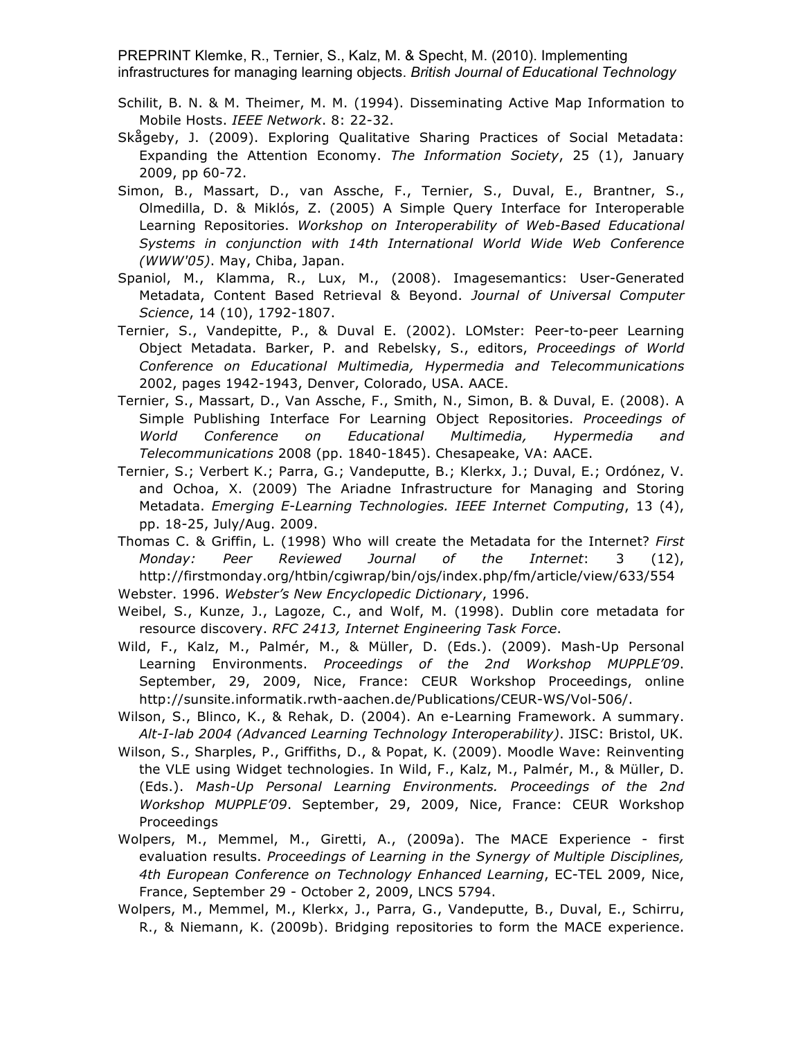- Schilit, B. N. & M. Theimer, M. M. (1994). Disseminating Active Map Information to Mobile Hosts. *IEEE Network*. 8: 22-32.
- Skågeby, J. (2009). Exploring Qualitative Sharing Practices of Social Metadata: Expanding the Attention Economy. *The Information Society*, 25 (1), January 2009, pp 60-72.
- Simon, B., Massart, D., van Assche, F., Ternier, S., Duval, E., Brantner, S., Olmedilla, D. & Miklós, Z. (2005) A Simple Query Interface for Interoperable Learning Repositories. *Workshop on Interoperability of Web-Based Educational Systems in conjunction with 14th International World Wide Web Conference (WWW'05)*. May, Chiba, Japan.
- Spaniol, M., Klamma, R., Lux, M., (2008). Imagesemantics: User-Generated Metadata, Content Based Retrieval & Beyond. *Journal of Universal Computer Science*, 14 (10), 1792-1807.
- Ternier, S., Vandepitte, P., & Duval E. (2002). LOMster: Peer-to-peer Learning Object Metadata. Barker, P. and Rebelsky, S., editors, *Proceedings of World Conference on Educational Multimedia, Hypermedia and Telecommunications*  2002, pages 1942-1943, Denver, Colorado, USA. AACE.
- Ternier, S., Massart, D., Van Assche, F., Smith, N., Simon, B. & Duval, E. (2008). A Simple Publishing Interface For Learning Object Repositories. *Proceedings of World Conference on Educational Multimedia, Hypermedia and Telecommunications* 2008 (pp. 1840-1845). Chesapeake, VA: AACE.
- Ternier, S.; Verbert K.; Parra, G.; Vandeputte, B.; Klerkx, J.; Duval, E.; Ordónez, V. and Ochoa, X. (2009) The Ariadne Infrastructure for Managing and Storing Metadata. *Emerging E-Learning Technologies. IEEE Internet Computing*, 13 (4), pp. 18-25, July/Aug. 2009.
- Thomas C. & Griffin, L. (1998) Who will create the Metadata for the Internet? *First Monday: Peer Reviewed Journal of the Internet*: 3 (12), http://firstmonday.org/htbin/cgiwrap/bin/ojs/index.php/fm/article/view/633/554 Webster. 1996. *Webster's New Encyclopedic Dictionary*, 1996.
- Weibel, S., Kunze, J., Lagoze, C., and Wolf, M. (1998). Dublin core metadata for resource discovery. *RFC 2413, Internet Engineering Task Force*.
- Wild, F., Kalz, M., Palmér, M., & Müller, D. (Eds.). (2009). Mash-Up Personal Learning Environments. *Proceedings of the 2nd Workshop MUPPLE'09*. September, 29, 2009, Nice, France: CEUR Workshop Proceedings, online http://sunsite.informatik.rwth-aachen.de/Publications/CEUR-WS/Vol-506/.
- Wilson, S., Blinco, K., & Rehak, D. (2004). An e-Learning Framework. A summary. *Alt-I-lab 2004 (Advanced Learning Technology Interoperability)*. JISC: Bristol, UK.
- Wilson, S., Sharples, P., Griffiths, D., & Popat, K. (2009). Moodle Wave: Reinventing the VLE using Widget technologies. In Wild, F., Kalz, M., Palmér, M., & Müller, D. (Eds.). *Mash-Up Personal Learning Environments. Proceedings of the 2nd Workshop MUPPLE'09*. September, 29, 2009, Nice, France: CEUR Workshop Proceedings
- Wolpers, M., Memmel, M., Giretti, A., (2009a). The MACE Experience first evaluation results. *Proceedings of Learning in the Synergy of Multiple Disciplines, 4th European Conference on Technology Enhanced Learning*, EC-TEL 2009, Nice, France, September 29 - October 2, 2009, LNCS 5794.
- Wolpers, M., Memmel, M., Klerkx, J., Parra, G., Vandeputte, B., Duval, E., Schirru, R., & Niemann, K. (2009b). Bridging repositories to form the MACE experience.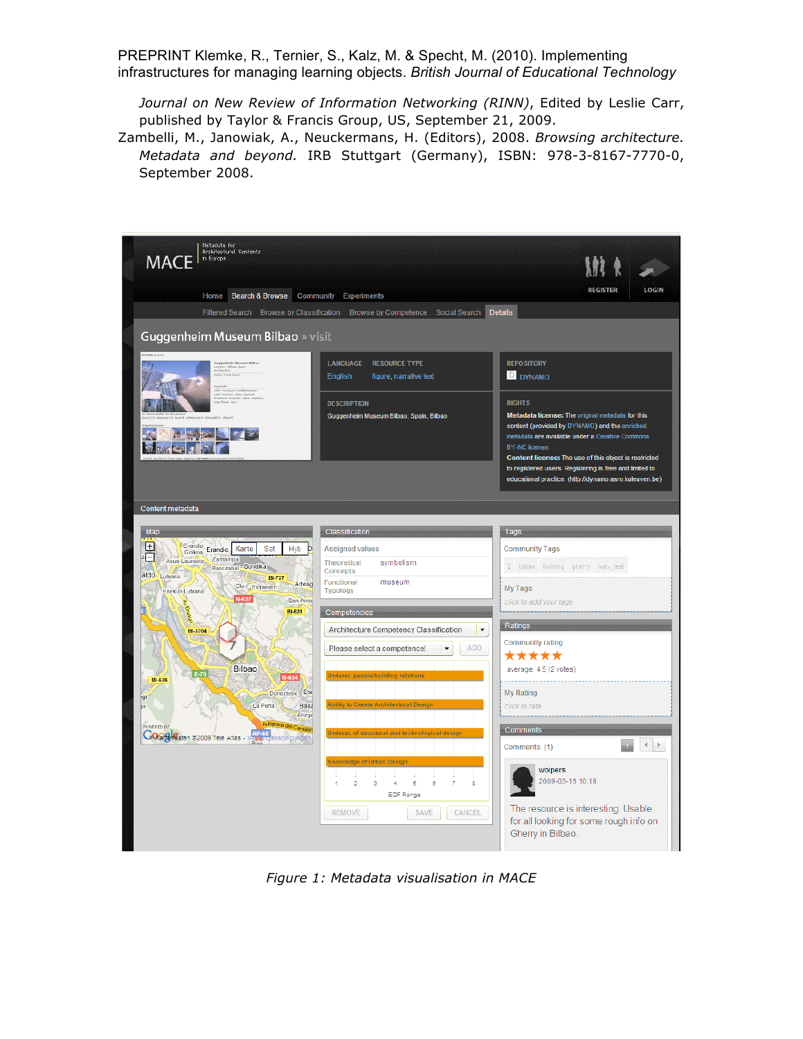*Journal on New Review of Information Networking (RINN)*, Edited by Leslie Carr, published by Taylor & Francis Group, US, September 21, 2009.

Zambelli, M., Janowiak, A., Neuckermans, H. (Editors), 2008. *Browsing architecture. Metadata and beyond.* IRB Stuttgart (Germany), ISBN: 978-3-8167-7770-0, September 2008.

| Metadata for<br><b>Architectural Contents</b><br>in Europe<br><b>MACE</b><br>Home<br>Search & Browse Community Experiments                                                                                                                                   | Filtered Search Browse by Classification Browse by Competence Social Search Details                                                                                                                                                                                                           | <b>LOGIN</b><br><b>REGISTER</b>                                                                                                                                                                                                                                                                                                                                                                               |
|--------------------------------------------------------------------------------------------------------------------------------------------------------------------------------------------------------------------------------------------------------------|-----------------------------------------------------------------------------------------------------------------------------------------------------------------------------------------------------------------------------------------------------------------------------------------------|---------------------------------------------------------------------------------------------------------------------------------------------------------------------------------------------------------------------------------------------------------------------------------------------------------------------------------------------------------------------------------------------------------------|
| Guggenheim Museum Bilbao » visit<br>Sehry, Frank Over<br>io)<br>27. massum, mes.<br>28. titurium, glass. Sparmi<br>18. titurium de, sater, skalet<br>abmodel(2), other(1)<br>WAS STR                                                                         | <b>LANGUAGE</b><br><b>RESOURCE TYPE</b><br><b>English</b><br>figure, narrative text<br><b>DESCRIPTION</b><br>Guggenheim Museum Bilbao: Spain, Bilbao                                                                                                                                          | <b>REPOSITORY</b><br><b>D</b> DYNAMO<br><b>RIGHTS</b><br>Metadata license: The original metadata for this<br>content (provided by DYNAMO) and the enriched<br>metadata are available under a Creative Commons<br>BY-NC license.<br>Content license: The use of this object is restricted<br>to registered users. Registering is free and limited to<br>educational practice. (http://dynamo.asro.kuleuven.be) |
| Content metadata<br>Map<br>田<br>Erandio<br>Goikoa Erandio<br>Karte<br>Sat<br><b>Hyb</b><br>曰<br>Zamarripa<br>Asua-Lauroeta<br>Basozabal Sondika<br>aldo Lutxana<br><b>BI-737</b><br>Arteag<br>Ola C Elotxelerri<br>Enekuri-Lutxana<br>N-637<br>San Anto<br>Ł | Classification<br><b>Assigned values</b><br>symbolism<br>Theoretical<br>Concepts<br>Functional<br>museum<br><b>Typology</b>                                                                                                                                                                   | Tags<br><b>Community Tags</b><br>bilbao building gherry iuav_test<br>$\overline{2}$<br><b>My Tags</b><br>click to add your tags                                                                                                                                                                                                                                                                               |
| Enekan<br><b>BI-631</b><br><b>BI-3704</b><br>Bilbao<br>N-634<br><b>BI-636</b><br>Doneztebe Etx<br>kgi<br>La Peña<br><b>Basa</b><br>Arizgo<br>Artfories<br><b>POWERED BY</b><br>a det.                                                                        | Competencies<br>Architecture Competency Classification<br>$\blacktriangledown$<br><b>ADD</b><br>Please select a competence!<br>$\blacktriangledown$<br>Underst. people/building relations<br><b>Ability to Create Architectural Design</b><br>Underst, of structural and technological design | Ratings<br>Community rating<br>*****<br>average: 4.5 (2 votes)<br><b>My Rating</b><br>click to rate<br><b>Comments</b>                                                                                                                                                                                                                                                                                        |
| GOGHerGaten ©2009 Tele Atlas -<br><b>indsbedingunder</b>                                                                                                                                                                                                     | Knowledge of Urban Design<br>÷<br>÷<br>÷<br>$\bar{z}$<br>1<br>3<br>4<br>5<br>6<br>7<br>s<br>EQF Range<br>CANCEL<br><b>REMOVE</b><br>SAVE                                                                                                                                                      | $\blacktriangleleft$<br>Comments (1)<br>wolpers<br>2009-03-16 10:18<br>The resource is interesting. Usable<br>for all looking for some rough info on<br>Gherry in Bilbao.                                                                                                                                                                                                                                     |

*Figure 1: Metadata visualisation in MACE*